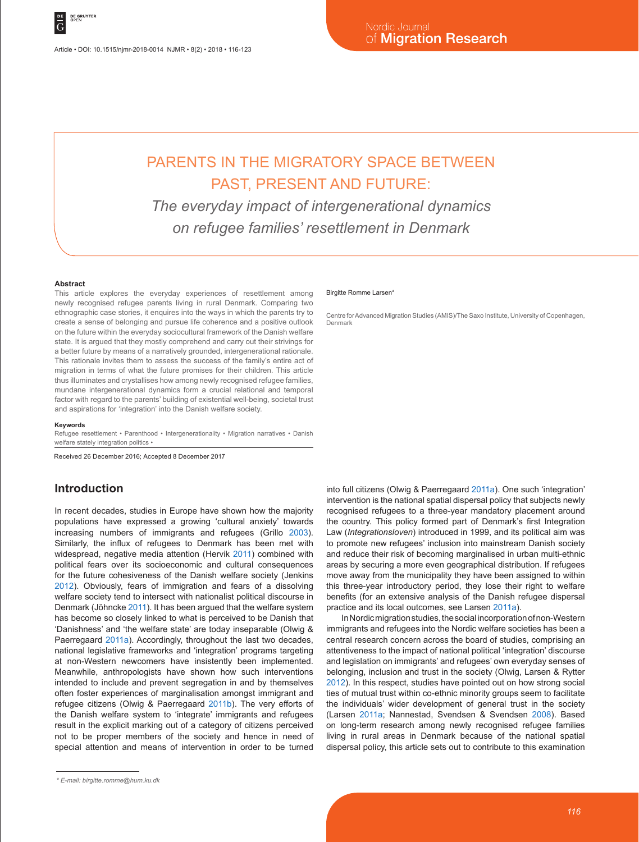# PARENTS IN THE MIGRATORY SPACE BETWEEN PAST, PRESENT AND FUTURE:

*The everyday impact of intergenerational dynamics on refugee families' resettlement in Denmark*

#### **Abstract**

This article explores the everyday experiences of resettlement among newly recognised refugee parents living in rural Denmark. Comparing two ethnographic case stories, it enquires into the ways in which the parents try to create a sense of belonging and pursue life coherence and a positive outlook on the future within the everyday sociocultural framework of the Danish welfare state. It is argued that they mostly comprehend and carry out their strivings for a better future by means of a narratively grounded, intergenerational rationale. This rationale invites them to assess the success of the family's entire act of migration in terms of what the future promises for their children. This article thus illuminates and crystallises how among newly recognised refugee families, mundane intergenerational dynamics form a crucial relational and temporal factor with regard to the parents' building of existential well-being, societal trust and aspirations for 'integration' into the Danish welfare society.

#### **Keywords**

Refugee resettlement • Parenthood • Intergenerationality • Migration narratives • Danish welfare stately integration politics •

Received 26 December 2016; Accepted 8 December 2017

#### **Introduction**

In recent decades, studies in Europe have shown how the majority populations have expressed a growing 'cultural anxiety' towards increasing numbers of immigrants and refugees (Grillo 2003). Similarly, the influx of refugees to Denmark has been met with widespread, negative media attention (Hervik 2011) combined with political fears over its socioeconomic and cultural consequences for the future cohesiveness of the Danish welfare society (Jenkins 2012). Obviously, fears of immigration and fears of a dissolving welfare society tend to intersect with nationalist political discourse in Denmark (Jöhncke 2011). It has been argued that the welfare system has become so closely linked to what is perceived to be Danish that 'Danishness' and 'the welfare state' are today inseparable (Olwig & Paerregaard 2011a). Accordingly, throughout the last two decades, national legislative frameworks and 'integration' programs targeting at non-Western newcomers have insistently been implemented. Meanwhile, anthropologists have shown how such interventions intended to include and prevent segregation in and by themselves often foster experiences of marginalisation amongst immigrant and refugee citizens (Olwig & Paerregaard 2011b). The very efforts of the Danish welfare system to 'integrate' immigrants and refugees result in the explicit marking out of a category of citizens perceived not to be proper members of the society and hence in need of special attention and means of intervention in order to be turned

#### Birgitte Romme Larsen\*

Centre for Advanced Migration Studies (AMIS)/The Saxo Institute, University of Copenhagen, Denmark

into full citizens (Olwig & Paerregaard 2011a). One such 'integration' intervention is the national spatial dispersal policy that subjects newly recognised refugees to a three-year mandatory placement around the country. This policy formed part of Denmark's first Integration Law (*Integrationsloven*) introduced in 1999, and its political aim was to promote new refugees' inclusion into mainstream Danish society and reduce their risk of becoming marginalised in urban multi-ethnic areas by securing a more even geographical distribution. If refugees move away from the municipality they have been assigned to within this three-year introductory period, they lose their right to welfare benefits (for an extensive analysis of the Danish refugee dispersal practice and its local outcomes, see Larsen 2011a).

In Nordic migration studies, the social incorporation of non-Western immigrants and refugees into the Nordic welfare societies has been a central research concern across the board of studies, comprising an attentiveness to the impact of national political 'integration' discourse and legislation on immigrants' and refugees' own everyday senses of belonging, inclusion and trust in the society (Olwig, Larsen & Rytter 2012). In this respect, studies have pointed out on how strong social ties of mutual trust within co-ethnic minority groups seem to facilitate the individuals' wider development of general trust in the society (Larsen 2011a; Nannestad, Svendsen & Svendsen 2008). Based on long-term research among newly recognised refugee families living in rural areas in Denmark because of the national spatial dispersal policy, this article sets out to contribute to this examination

*<sup>\*</sup> E-mail: birgitte.romme@hum.ku.dk*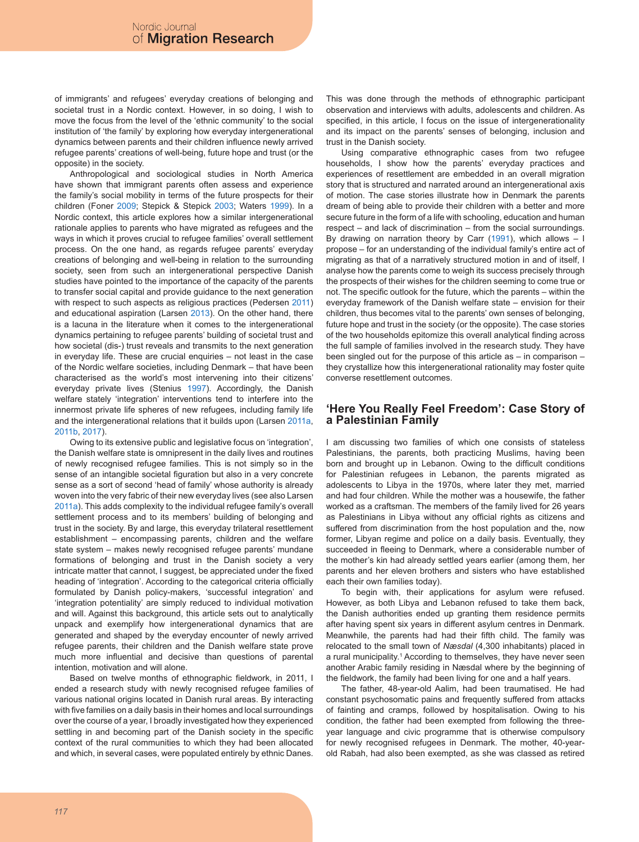of immigrants' and refugees' everyday creations of belonging and societal trust in a Nordic context. However, in so doing, I wish to move the focus from the level of the 'ethnic community' to the social institution of 'the family' by exploring how everyday intergenerational dynamics between parents and their children influence newly arrived refugee parents' creations of well-being, future hope and trust (or the opposite) in the society.

Anthropological and sociological studies in North America have shown that immigrant parents often assess and experience the family's social mobility in terms of the future prospects for their children (Foner 2009; Stepick & Stepick 2003; Waters 1999). In a Nordic context, this article explores how a similar intergenerational rationale applies to parents who have migrated as refugees and the ways in which it proves crucial to refugee families' overall settlement process. On the one hand, as regards refugee parents' everyday creations of belonging and well-being in relation to the surrounding society, seen from such an intergenerational perspective Danish studies have pointed to the importance of the capacity of the parents to transfer social capital and provide guidance to the next generation with respect to such aspects as religious practices (Pedersen 2011) and educational aspiration (Larsen 2013). On the other hand, there is a lacuna in the literature when it comes to the intergenerational dynamics pertaining to refugee parents' building of societal trust and how societal (dis-) trust reveals and transmits to the next generation in everyday life. These are crucial enquiries – not least in the case of the Nordic welfare societies, including Denmark – that have been characterised as the world's most intervening into their citizens' everyday private lives (Stenius 1997). Accordingly, the Danish welfare stately 'integration' interventions tend to interfere into the innermost private life spheres of new refugees, including family life and the intergenerational relations that it builds upon (Larsen 2011a, 2011b, 2017).

Owing to its extensive public and legislative focus on 'integration', the Danish welfare state is omnipresent in the daily lives and routines of newly recognised refugee families. This is not simply so in the sense of an intangible societal figuration but also in a very concrete sense as a sort of second 'head of family' whose authority is already woven into the very fabric of their new everyday lives (see also Larsen 2011a). This adds complexity to the individual refugee family's overall settlement process and to its members' building of belonging and trust in the society. By and large, this everyday trilateral resettlement establishment – encompassing parents, children and the welfare state system – makes newly recognised refugee parents' mundane formations of belonging and trust in the Danish society a very intricate matter that cannot, I suggest, be appreciated under the fixed heading of 'integration'. According to the categorical criteria officially formulated by Danish policy-makers, 'successful integration' and 'integration potentiality' are simply reduced to individual motivation and will. Against this background, this article sets out to analytically unpack and exemplify how intergenerational dynamics that are generated and shaped by the everyday encounter of newly arrived refugee parents, their children and the Danish welfare state prove much more influential and decisive than questions of parental intention, motivation and will alone.

Based on twelve months of ethnographic fieldwork, in 2011, I ended a research study with newly recognised refugee families of various national origins located in Danish rural areas. By interacting with five families on a daily basis in their homes and local surroundings over the course of a year, I broadly investigated how they experienced settling in and becoming part of the Danish society in the specific context of the rural communities to which they had been allocated and which, in several cases, were populated entirely by ethnic Danes. This was done through the methods of ethnographic participant observation and interviews with adults, adolescents and children. As specified, in this article, I focus on the issue of intergenerationality and its impact on the parents' senses of belonging, inclusion and trust in the Danish society.

Using comparative ethnographic cases from two refugee households, I show how the parents' everyday practices and experiences of resettlement are embedded in an overall migration story that is structured and narrated around an intergenerational axis of motion. The case stories illustrate how in Denmark the parents dream of being able to provide their children with a better and more secure future in the form of a life with schooling, education and human respect – and lack of discrimination – from the social surroundings. By drawing on narration theory by Carr (1991), which allows  $-1$ propose – for an understanding of the individual family's entire act of migrating as that of a narratively structured motion in and of itself, I analyse how the parents come to weigh its success precisely through the prospects of their wishes for the children seeming to come true or not. The specific outlook for the future, which the parents – within the everyday framework of the Danish welfare state – envision for their children, thus becomes vital to the parents' own senses of belonging, future hope and trust in the society (or the opposite). The case stories of the two households epitomize this overall analytical finding across the full sample of families involved in the research study. They have been singled out for the purpose of this article as – in comparison – they crystallize how this intergenerational rationality may foster quite converse resettlement outcomes.

#### **'Here You Really Feel Freedom': Case Story of a Palestinian Family**

I am discussing two families of which one consists of stateless Palestinians, the parents, both practicing Muslims, having been born and brought up in Lebanon. Owing to the difficult conditions for Palestinian refugees in Lebanon, the parents migrated as adolescents to Libya in the 1970s, where later they met, married and had four children. While the mother was a housewife, the father worked as a craftsman. The members of the family lived for 26 years as Palestinians in Libya without any official rights as citizens and suffered from discrimination from the host population and the, now former, Libyan regime and police on a daily basis. Eventually, they succeeded in fleeing to Denmark, where a considerable number of the mother's kin had already settled years earlier (among them, her parents and her eleven brothers and sisters who have established each their own families today).

To begin with, their applications for asylum were refused. However, as both Libya and Lebanon refused to take them back, the Danish authorities ended up granting them residence permits after having spent six years in different asylum centres in Denmark. Meanwhile, the parents had had their fifth child. The family was relocated to the small town of *Næsdal* (4,300 inhabitants) placed in a rural municipality.<sup>1</sup> According to themselves, they have never seen another Arabic family residing in Næsdal where by the beginning of the fieldwork, the family had been living for one and a half years.

The father, 48-year-old Aalim, had been traumatised. He had constant psychosomatic pains and frequently suffered from attacks of fainting and cramps, followed by hospitalisation. Owing to his condition, the father had been exempted from following the threeyear language and civic programme that is otherwise compulsory for newly recognised refugees in Denmark. The mother, 40-yearold Rabah, had also been exempted, as she was classed as retired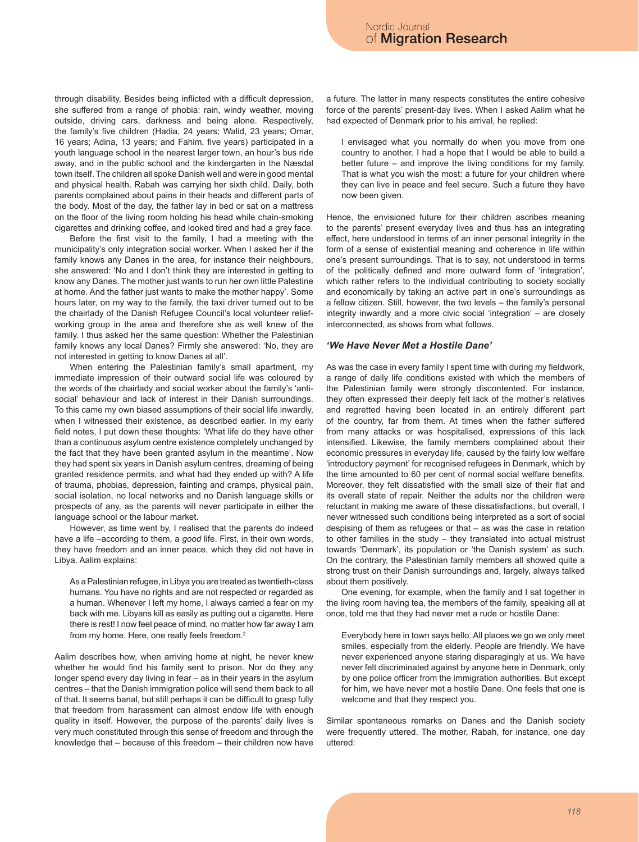through disability. Besides being inflicted with a difficult depression, she suffered from a range of phobia: rain, windy weather, moving outside, driving cars, darkness and being alone. Respectively, the family's five children (Hadia, 24 years; Walid, 23 years; Omar, 16 years; Adina, 13 years; and Fahim, five years) participated in a youth language school in the nearest larger town, an hour's bus ride away, and in the public school and the kindergarten in the Næsdal town itself. The children all spoke Danish well and were in good mental and physical health. Rabah was carrying her sixth child. Daily, both parents complained about pains in their heads and different parts of the body. Most of the day, the father lay in bed or sat on a mattress on the floor of the living room holding his head while chain-smoking cigarettes and drinking coffee, and looked tired and had a grey face.

Before the first visit to the family, I had a meeting with the municipality's only integration social worker. When I asked her if the family knows any Danes in the area, for instance their neighbours, she answered: 'No and I don't think they are interested in getting to know any Danes. The mother just wants to run her own little Palestine at home. And the father just wants to make the mother happy'*.* Some hours later, on my way to the family, the taxi driver turned out to be the chairlady of the Danish Refugee Council's local volunteer reliefworking group in the area and therefore she as well knew of the family. I thus asked her the same question: Whether the Palestinian family knows any local Danes? Firmly she answered: 'No, they are not interested in getting to know Danes at all'.

When entering the Palestinian family's small apartment, my immediate impression of their outward social life was coloured by the words of the chairlady and social worker about the family's 'antisocial' behaviour and lack of interest in their Danish surroundings. To this came my own biased assumptions of their social life inwardly, when I witnessed their existence, as described earlier. In my early field notes, I put down these thoughts: 'What life do they have other than a continuous asylum centre existence completely unchanged by the fact that they have been granted asylum in the meantime'. Now they had spent six years in Danish asylum centres, dreaming of being granted residence permits, and what had they ended up with? A life of trauma, phobias, depression, fainting and cramps, physical pain, social isolation, no local networks and no Danish language skills or prospects of any, as the parents will never participate in either the language school or the labour market.

However, as time went by, I realised that the parents do indeed have a life –according to them, a *good* life. First, in their own words, they have freedom and an inner peace, which they did not have in Libya. Aalim explains:

As a Palestinian refugee, in Libya you are treated as twentieth-class humans. You have no rights and are not respected or regarded as a human. Whenever I left my home, I always carried a fear on my back with me. Libyans kill as easily as putting out a cigarette. Here there is rest! I now feel peace of mind, no matter how far away I am from my home. Here, one really feels freedom.2

Aalim describes how, when arriving home at night, he never knew whether he would find his family sent to prison. Nor do they any longer spend every day living in fear – as in their years in the asylum centres – that the Danish immigration police will send them back to all of that. It seems banal, but still perhaps it can be difficult to grasp fully that freedom from harassment can almost endow life with enough quality in itself. However, the purpose of the parents' daily lives is very much constituted through this sense of freedom and through the knowledge that – because of this freedom – their children now have a future. The latter in many respects constitutes the entire cohesive force of the parents' present-day lives. When I asked Aalim what he had expected of Denmark prior to his arrival, he replied:

I envisaged what you normally do when you move from one country to another. I had a hope that I would be able to build a better future – and improve the living conditions for my family. That is what you wish the most: a future for your children where they can live in peace and feel secure. Such a future they have now been given.

Hence, the envisioned future for their children ascribes meaning to the parents' present everyday lives and thus has an integrating effect, here understood in terms of an inner personal integrity in the form of a sense of existential meaning and coherence in life within one's present surroundings. That is to say, not understood in terms of the politically defined and more outward form of 'integration', which rather refers to the individual contributing to society socially and economically by taking an active part in one's surroundings as a fellow citizen. Still, however, the two levels – the family's personal integrity inwardly and a more civic social 'integration' – are closely interconnected, as shows from what follows.

#### *'We Have Never Met a Hostile Dane'*

As was the case in every family I spent time with during my fieldwork, a range of daily life conditions existed with which the members of the Palestinian family were strongly discontented. For instance, they often expressed their deeply felt lack of the mother's relatives and regretted having been located in an entirely different part of the country, far from them. At times when the father suffered from many attacks or was hospitalised, expressions of this lack intensified. Likewise, the family members complained about their economic pressures in everyday life, caused by the fairly low welfare 'introductory payment' for recognised refugees in Denmark, which by the time amounted to 60 per cent of normal social welfare benefits. Moreover, they felt dissatisfied with the small size of their flat and its overall state of repair. Neither the adults nor the children were reluctant in making me aware of these dissatisfactions, but overall, I never witnessed such conditions being interpreted as a sort of social despising of them as refugees or that – as was the case in relation to other families in the study – they translated into actual mistrust towards 'Denmark', its population or 'the Danish system' as such. On the contrary, the Palestinian family members all showed quite a strong trust on their Danish surroundings and, largely, always talked about them positively.

One evening, for example, when the family and I sat together in the living room having tea, the members of the family, speaking all at once, told me that they had never met a rude or hostile Dane:

Everybody here in town says hello. All places we go we only meet smiles, especially from the elderly. People are friendly. We have never experienced anyone staring disparagingly at us. We have never felt discriminated against by anyone here in Denmark, only by one police officer from the immigration authorities. But except for him, we have never met a hostile Dane. One feels that one is welcome and that they respect you.

Similar spontaneous remarks on Danes and the Danish society were frequently uttered. The mother, Rabah, for instance, one day uttered: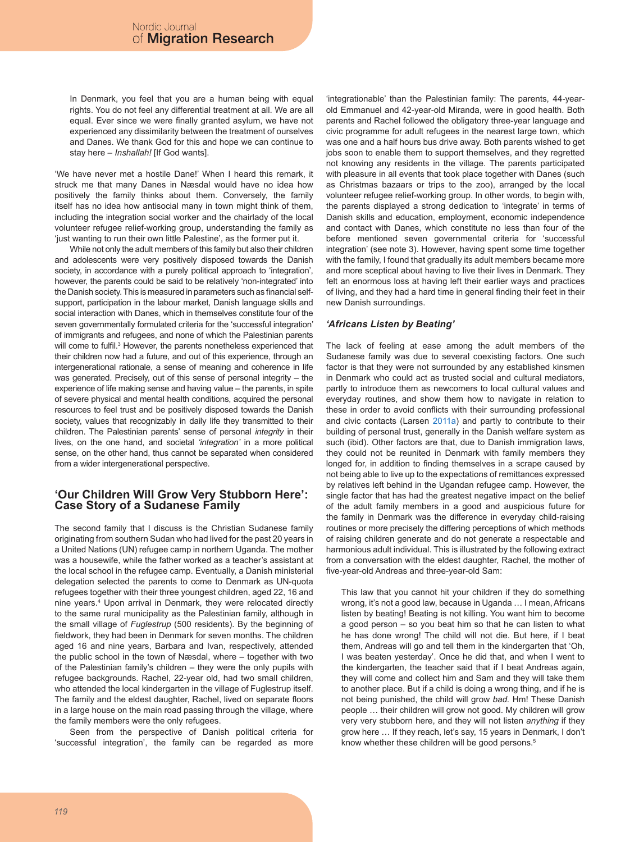In Denmark, you feel that you are a human being with equal rights. You do not feel any differential treatment at all. We are all equal. Ever since we were finally granted asylum, we have not experienced any dissimilarity between the treatment of ourselves and Danes. We thank God for this and hope we can continue to stay here – *Inshallah!* [If God wants].

'We have never met a hostile Dane!' When I heard this remark, it struck me that many Danes in Næsdal would have no idea how positively the family thinks about them. Conversely, the family itself has no idea how antisocial many in town might think of them, including the integration social worker and the chairlady of the local volunteer refugee relief-working group, understanding the family as 'just wanting to run their own little Palestine', as the former put it.

While not only the adult members of this family but also their children and adolescents were very positively disposed towards the Danish society, in accordance with a purely political approach to 'integration', however, the parents could be said to be relatively 'non-integrated' into the Danish society. This is measured in parameters such as financial selfsupport, participation in the labour market, Danish language skills and social interaction with Danes, which in themselves constitute four of the seven governmentally formulated criteria for the 'successful integration' of immigrants and refugees, and none of which the Palestinian parents will come to fulfil.<sup>3</sup> However, the parents nonetheless experienced that their children now had a future, and out of this experience, through an intergenerational rationale, a sense of meaning and coherence in life was generated. Precisely, out of this sense of personal integrity – the experience of life making sense and having value – the parents, in spite of severe physical and mental health conditions, acquired the personal resources to feel trust and be positively disposed towards the Danish society, values that recognizably in daily life they transmitted to their children. The Palestinian parents' sense of personal *integrity* in their lives, on the one hand, and societal *'integration'* in a more political sense, on the other hand, thus cannot be separated when considered from a wider intergenerational perspective.

## **'Our Children Will Grow Very Stubborn Here': Case Story of a Sudanese Family**

The second family that I discuss is the Christian Sudanese family originating from southern Sudan who had lived for the past 20 years in a United Nations (UN) refugee camp in northern Uganda. The mother was a housewife, while the father worked as a teacher's assistant at the local school in the refugee camp. Eventually, a Danish ministerial delegation selected the parents to come to Denmark as UN-quota refugees together with their three youngest children, aged 22, 16 and nine years.4 Upon arrival in Denmark, they were relocated directly to the same rural municipality as the Palestinian family, although in the small village of *Fuglestrup* (500 residents). By the beginning of fieldwork, they had been in Denmark for seven months. The children aged 16 and nine years, Barbara and Ivan, respectively, attended the public school in the town of Næsdal, where – together with two of the Palestinian family's children – they were the only pupils with refugee backgrounds. Rachel, 22-year old, had two small children, who attended the local kindergarten in the village of Fuglestrup itself. The family and the eldest daughter, Rachel, lived on separate floors in a large house on the main road passing through the village, where the family members were the only refugees.

Seen from the perspective of Danish political criteria for 'successful integration', the family can be regarded as more 'integrationable' than the Palestinian family: The parents, 44-yearold Emmanuel and 42-year-old Miranda, were in good health. Both parents and Rachel followed the obligatory three-year language and civic programme for adult refugees in the nearest large town, which was one and a half hours bus drive away. Both parents wished to get jobs soon to enable them to support themselves, and they regretted not knowing any residents in the village. The parents participated with pleasure in all events that took place together with Danes (such as Christmas bazaars or trips to the zoo), arranged by the local volunteer refugee relief-working group. In other words, to begin with, the parents displayed a strong dedication to 'integrate' in terms of Danish skills and education, employment, economic independence and contact with Danes, which constitute no less than four of the before mentioned seven governmental criteria for 'successful integration' (see note 3). However, having spent some time together with the family, I found that gradually its adult members became more and more sceptical about having to live their lives in Denmark. They felt an enormous loss at having left their earlier ways and practices of living, and they had a hard time in general finding their feet in their new Danish surroundings.

#### *'Africans Listen by Beating'*

The lack of feeling at ease among the adult members of the Sudanese family was due to several coexisting factors. One such factor is that they were not surrounded by any established kinsmen in Denmark who could act as trusted social and cultural mediators, partly to introduce them as newcomers to local cultural values and everyday routines, and show them how to navigate in relation to these in order to avoid conflicts with their surrounding professional and civic contacts (Larsen 2011a) and partly to contribute to their building of personal trust, generally in the Danish welfare system as such (ibid). Other factors are that, due to Danish immigration laws, they could not be reunited in Denmark with family members they longed for, in addition to finding themselves in a scrape caused by not being able to live up to the expectations of remittances expressed by relatives left behind in the Ugandan refugee camp. However, the single factor that has had the greatest negative impact on the belief of the adult family members in a good and auspicious future for the family in Denmark was the difference in everyday child-raising routines or more precisely the differing perceptions of which methods of raising children generate and do not generate a respectable and harmonious adult individual. This is illustrated by the following extract from a conversation with the eldest daughter, Rachel, the mother of five-year-old Andreas and three-year-old Sam:

This law that you cannot hit your children if they do something wrong, it's not a good law, because in Uganda … I mean, Africans listen by beating! Beating is not killing. You want him to become a good person – so you beat him so that he can listen to what he has done wrong! The child will not die. But here, if I beat them, Andreas will go and tell them in the kindergarten that 'Oh, I was beaten yesterday'. Once he did that, and when I went to the kindergarten, the teacher said that if I beat Andreas again, they will come and collect him and Sam and they will take them to another place. But if a child is doing a wrong thing, and if he is not being punished, the child will grow *bad.* Hm! These Danish people … their children will grow not good. My children will grow very very stubborn here, and they will not listen *anything* if they grow here … If they reach, let's say, 15 years in Denmark, I don't know whether these children will be good persons.<sup>5</sup>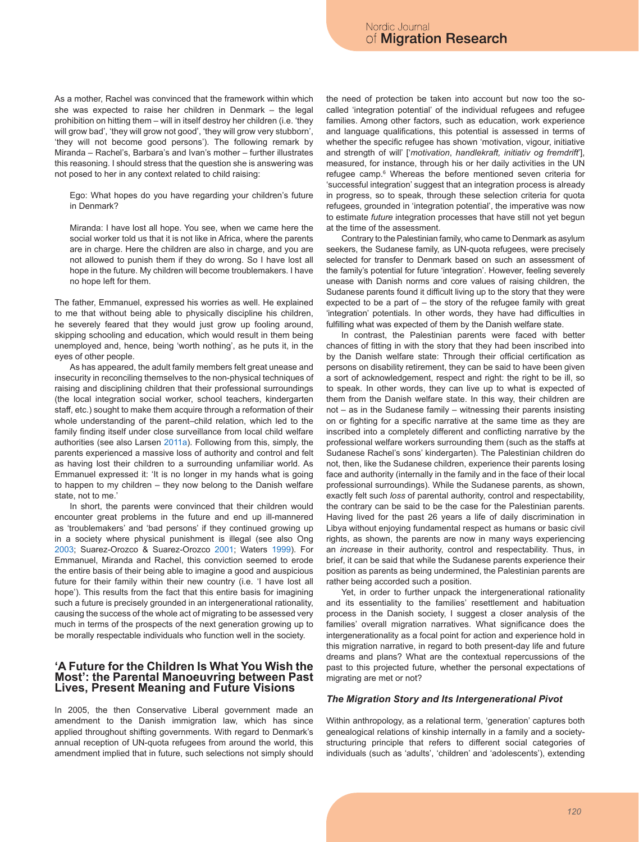As a mother, Rachel was convinced that the framework within which she was expected to raise her children in Denmark – the legal prohibition on hitting them – will in itself destroy her children (i.e. 'they will grow bad', 'they will grow not good', 'they will grow very stubborn', 'they will not become good persons'). The following remark by Miranda – Rachel's, Barbara's and Ivan's mother – further illustrates this reasoning. I should stress that the question she is answering was not posed to her in any context related to child raising:

Ego: What hopes do you have regarding your children's future in Denmark?

Miranda: I have lost all hope. You see, when we came here the social worker told us that it is not like in Africa, where the parents are in charge. Here the children are also in charge, and you are not allowed to punish them if they do wrong. So I have lost all hope in the future. My children will become troublemakers. I have no hope left for them.

The father, Emmanuel, expressed his worries as well. He explained to me that without being able to physically discipline his children, he severely feared that they would just grow up fooling around, skipping schooling and education, which would result in them being unemployed and, hence, being 'worth nothing', as he puts it, in the eyes of other people.

As has appeared, the adult family members felt great unease and insecurity in reconciling themselves to the non-physical techniques of raising and disciplining children that their professional surroundings (the local integration social worker, school teachers, kindergarten staff, etc.) sought to make them acquire through a reformation of their whole understanding of the parent–child relation, which led to the family finding itself under close surveillance from local child welfare authorities (see also Larsen 2011a). Following from this, simply, the parents experienced a massive loss of authority and control and felt as having lost their children to a surrounding unfamiliar world. As Emmanuel expressed it: 'It is no longer in my hands what is going to happen to my children – they now belong to the Danish welfare state, not to me.'

In short, the parents were convinced that their children would encounter great problems in the future and end up ill-mannered as 'troublemakers' and 'bad persons' if they continued growing up in a society where physical punishment is illegal (see also Ong 2003; Suarez-Orozco & Suarez-Orozco 2001; Waters 1999). For Emmanuel, Miranda and Rachel, this conviction seemed to erode the entire basis of their being able to imagine a good and auspicious future for their family within their new country (i.e. 'I have lost all hope'). This results from the fact that this entire basis for imagining such a future is precisely grounded in an intergenerational rationality, causing the success of the whole act of migrating to be assessed very much in terms of the prospects of the next generation growing up to be morally respectable individuals who function well in the society.

#### **'A Future for the Children Is What You Wish the Most': the Parental Manoeuvring between Past Lives, Present Meaning and Future Visions**

In 2005, the then Conservative Liberal government made an amendment to the Danish immigration law, which has since applied throughout shifting governments. With regard to Denmark's annual reception of UN-quota refugees from around the world, this amendment implied that in future, such selections not simply should the need of protection be taken into account but now too the socalled 'integration potential' of the individual refugees and refugee families. Among other factors, such as education, work experience and language qualifications, this potential is assessed in terms of whether the specific refugee has shown 'motivation, vigour, initiative and strength of will' ['*motivation*, *handlekraft, initiativ og fremdrift*'], measured, for instance, through his or her daily activities in the UN refugee camp.<sup>6</sup> Whereas the before mentioned seven criteria for 'successful integration' suggest that an integration process is already in progress, so to speak, through these selection criteria for quota refugees, grounded in 'integration potential', the imperative was now to estimate *future* integration processes that have still not yet begun at the time of the assessment.

Contrary to the Palestinian family, who came to Denmark as asylum seekers, the Sudanese family, as UN-quota refugees, were precisely selected for transfer to Denmark based on such an assessment of the family's potential for future 'integration'. However, feeling severely unease with Danish norms and core values of raising children, the Sudanese parents found it difficult living up to the story that they were expected to be a part of – the story of the refugee family with great 'integration' potentials. In other words, they have had difficulties in fulfilling what was expected of them by the Danish welfare state.

In contrast, the Palestinian parents were faced with better chances of fitting in with the story that they had been inscribed into by the Danish welfare state: Through their official certification as persons on disability retirement, they can be said to have been given a sort of acknowledgement, respect and right: the right to be ill, so to speak. In other words, they can live up to what is expected of them from the Danish welfare state. In this way, their children are not – as in the Sudanese family – witnessing their parents insisting on or fighting for a specific narrative at the same time as they are inscribed into a completely different and conflicting narrative by the professional welfare workers surrounding them (such as the staffs at Sudanese Rachel's sons' kindergarten). The Palestinian children do not, then, like the Sudanese children, experience their parents losing face and authority (internally in the family and in the face of their local professional surroundings). While the Sudanese parents, as shown, exactly felt such *loss* of parental authority, control and respectability, the contrary can be said to be the case for the Palestinian parents. Having lived for the past 26 years a life of daily discrimination in Libya without enjoying fundamental respect as humans or basic civil rights, as shown, the parents are now in many ways experiencing an *increase* in their authority, control and respectability. Thus, in brief, it can be said that while the Sudanese parents experience their position as parents as being undermined, the Palestinian parents are rather being accorded such a position.

Yet, in order to further unpack the intergenerational rationality and its essentiality to the families' resettlement and habituation process in the Danish society, I suggest a closer analysis of the families' overall migration narratives. What significance does the intergenerationality as a focal point for action and experience hold in this migration narrative, in regard to both present-day life and future dreams and plans? What are the contextual repercussions of the past to this projected future, whether the personal expectations of migrating are met or not?

#### *The Migration Story and Its Intergenerational Pivot*

Within anthropology, as a relational term, 'generation' captures both genealogical relations of kinship internally in a family and a societystructuring principle that refers to different social categories of individuals (such as 'adults', 'children' and 'adolescents'), extending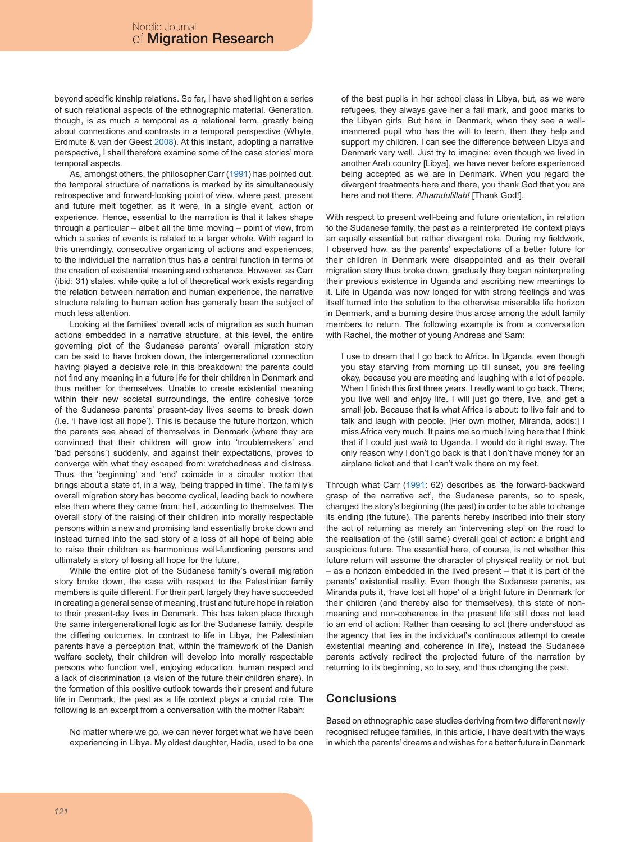beyond specific kinship relations. So far, I have shed light on a series of such relational aspects of the ethnographic material. Generation, though, is as much a temporal as a relational term, greatly being about connections and contrasts in a temporal perspective (Whyte, Erdmute & van der Geest 2008). At this instant, adopting a narrative perspective, I shall therefore examine some of the case stories' more temporal aspects.

As, amongst others, the philosopher Carr (1991) has pointed out, the temporal structure of narrations is marked by its simultaneously retrospective and forward-looking point of view, where past, present and future melt together, as it were, in a single event, action or experience. Hence, essential to the narration is that it takes shape through a particular – albeit all the time moving – point of view, from which a series of events is related to a larger whole. With regard to this unendingly, consecutive organizing of actions and experiences, to the individual the narration thus has a central function in terms of the creation of existential meaning and coherence. However, as Carr (ibid: 31) states, while quite a lot of theoretical work exists regarding the relation between narration and human experience, the narrative structure relating to human action has generally been the subject of much less attention.

Looking at the families' overall acts of migration as such human actions embedded in a narrative structure, at this level, the entire governing plot of the Sudanese parents' overall migration story can be said to have broken down, the intergenerational connection having played a decisive role in this breakdown: the parents could not find any meaning in a future life for their children in Denmark and thus neither for themselves. Unable to create existential meaning within their new societal surroundings, the entire cohesive force of the Sudanese parents' present-day lives seems to break down (i.e. 'I have lost all hope'). This is because the future horizon, which the parents see ahead of themselves in Denmark (where they are convinced that their children will grow into 'troublemakers' and 'bad persons') suddenly, and against their expectations, proves to converge with what they escaped from: wretchedness and distress. Thus, the 'beginning' and 'end' coincide in a circular motion that brings about a state of, in a way, 'being trapped in time'. The family's overall migration story has become cyclical, leading back to nowhere else than where they came from: hell, according to themselves. The overall story of the raising of their children into morally respectable persons within a new and promising land essentially broke down and instead turned into the sad story of a loss of all hope of being able to raise their children as harmonious well-functioning persons and ultimately a story of losing all hope for the future.

While the entire plot of the Sudanese family's overall migration story broke down, the case with respect to the Palestinian family members is quite different. For their part, largely they have succeeded in creating a general sense of meaning, trust and future hope in relation to their present-day lives in Denmark. This has taken place through the same intergenerational logic as for the Sudanese family, despite the differing outcomes. In contrast to life in Libya, the Palestinian parents have a perception that, within the framework of the Danish welfare society, their children will develop into morally respectable persons who function well, enjoying education, human respect and a lack of discrimination (a vision of the future their children share). In the formation of this positive outlook towards their present and future life in Denmark, the past as a life context plays a crucial role. The following is an excerpt from a conversation with the mother Rabah:

No matter where we go, we can never forget what we have been experiencing in Libya. My oldest daughter, Hadia, used to be one of the best pupils in her school class in Libya, but, as we were refugees, they always gave her a fail mark, and good marks to the Libyan girls. But here in Denmark, when they see a wellmannered pupil who has the will to learn, then they help and support my children. I can see the difference between Libya and Denmark very well. Just try to imagine: even though we lived in another Arab country [Libya], we have never before experienced being accepted as we are in Denmark. When you regard the divergent treatments here and there, you thank God that you are here and not there. *Alhamdulillah!* [Thank God!].

With respect to present well-being and future orientation, in relation to the Sudanese family, the past as a reinterpreted life context plays an equally essential but rather divergent role. During my fieldwork, I observed how, as the parents' expectations of a better future for their children in Denmark were disappointed and as their overall migration story thus broke down, gradually they began reinterpreting their previous existence in Uganda and ascribing new meanings to it. Life in Uganda was now longed for with strong feelings and was itself turned into the solution to the otherwise miserable life horizon in Denmark, and a burning desire thus arose among the adult family members to return. The following example is from a conversation with Rachel, the mother of young Andreas and Sam:

I use to dream that I go back to Africa. In Uganda, even though you stay starving from morning up till sunset, you are feeling okay, because you are meeting and laughing with a lot of people. When I finish this first three years, I really want to go back. There, you live well and enjoy life. I will just go there, live, and get a small job. Because that is what Africa is about: to live fair and to talk and laugh with people. [Her own mother, Miranda, adds:] I miss Africa very much. It pains me so much living here that I think that if I could just *walk* to Uganda, I would do it right away. The only reason why I don't go back is that I don't have money for an airplane ticket and that I can't walk there on my feet.

Through what Carr (1991: 62) describes as 'the forward-backward grasp of the narrative act', the Sudanese parents, so to speak, changed the story's beginning (the past) in order to be able to change its ending (the future). The parents hereby inscribed into their story the act of returning as merely an 'intervening step' on the road to the realisation of the (still same) overall goal of action: a bright and auspicious future. The essential here, of course, is not whether this future return will assume the character of physical reality or not, but – as a horizon embedded in the lived present – that it is part of the parents' existential reality. Even though the Sudanese parents, as Miranda puts it, 'have lost all hope' of a bright future in Denmark for their children (and thereby also for themselves), this state of nonmeaning and non-coherence in the present life still does not lead to an end of action: Rather than ceasing to act (here understood as the agency that lies in the individual's continuous attempt to create existential meaning and coherence in life), instead the Sudanese parents actively redirect the projected future of the narration by returning to its beginning, so to say, and thus changing the past.

## **Conclusions**

Based on ethnographic case studies deriving from two different newly recognised refugee families, in this article, I have dealt with the ways in which the parents' dreams and wishes for a better future in Denmark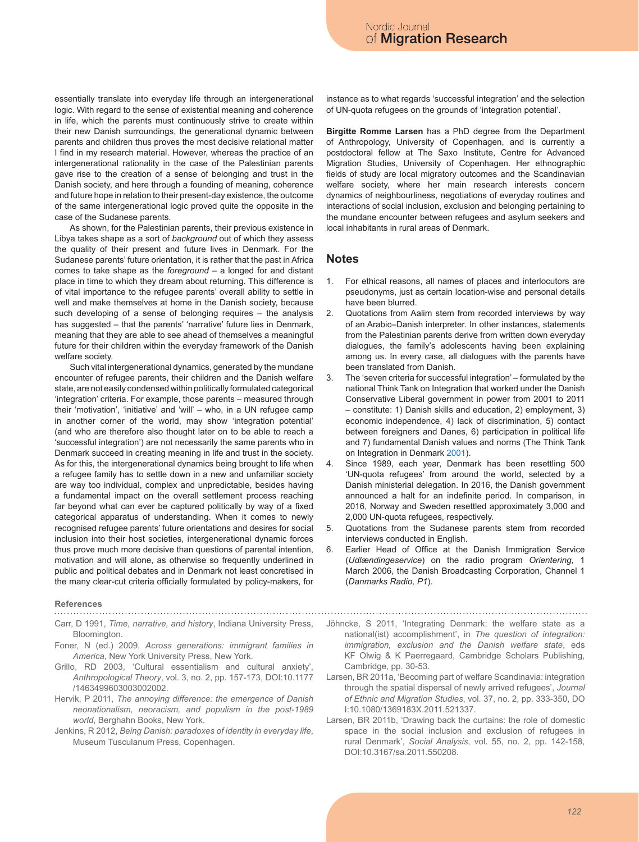essentially translate into everyday life through an intergenerational logic. With regard to the sense of existential meaning and coherence in life, which the parents must continuously strive to create within their new Danish surroundings, the generational dynamic between parents and children thus proves the most decisive relational matter I find in my research material. However, whereas the practice of an intergenerational rationality in the case of the Palestinian parents gave rise to the creation of a sense of belonging and trust in the Danish society, and here through a founding of meaning, coherence and future hope in relation to their present-day existence, the outcome of the same intergenerational logic proved quite the opposite in the case of the Sudanese parents.

As shown, for the Palestinian parents, their previous existence in Libya takes shape as a sort of *background* out of which they assess the quality of their present and future lives in Denmark. For the Sudanese parents' future orientation, it is rather that the past in Africa comes to take shape as the *foreground* – a longed for and distant place in time to which they dream about returning. This difference is of vital importance to the refugee parents' overall ability to settle in well and make themselves at home in the Danish society, because such developing of a sense of belonging requires – the analysis has suggested – that the parents' 'narrative' future lies in Denmark, meaning that they are able to see ahead of themselves a meaningful future for their children within the everyday framework of the Danish welfare society.

Such vital intergenerational dynamics, generated by the mundane encounter of refugee parents, their children and the Danish welfare state, are not easily condensed within politically formulated categorical 'integration' criteria. For example, those parents – measured through their 'motivation', 'initiative' and 'will' – who, in a UN refugee camp in another corner of the world, may show 'integration potential' (and who are therefore also thought later on to be able to reach a 'successful integration') are not necessarily the same parents who in Denmark succeed in creating meaning in life and trust in the society. As for this, the intergenerational dynamics being brought to life when a refugee family has to settle down in a new and unfamiliar society are way too individual, complex and unpredictable, besides having a fundamental impact on the overall settlement process reaching far beyond what can ever be captured politically by way of a fixed categorical apparatus of understanding. When it comes to newly recognised refugee parents' future orientations and desires for social inclusion into their host societies, intergenerational dynamic forces thus prove much more decisive than questions of parental intention, motivation and will alone, as otherwise so frequently underlined in public and political debates and in Denmark not least concretised in the many clear-cut criteria officially formulated by policy-makers, for

#### instance as to what regards 'successful integration' and the selection of UN-quota refugees on the grounds of 'integration potential'.

**Birgitte Romme Larsen** has a PhD degree from the Department of Anthropology, University of Copenhagen, and is currently a postdoctoral fellow at The Saxo Institute, Centre for Advanced Migration Studies, University of Copenhagen. Her ethnographic fields of study are local migratory outcomes and the Scandinavian welfare society, where her main research interests concern dynamics of neighbourliness, negotiations of everyday routines and interactions of social inclusion, exclusion and belonging pertaining to the mundane encounter between refugees and asylum seekers and local inhabitants in rural areas of Denmark.

## **Notes**

- 1. For ethical reasons, all names of places and interlocutors are pseudonyms, just as certain location-wise and personal details have been blurred.
- 2. Quotations from Aalim stem from recorded interviews by way of an Arabic–Danish interpreter. In other instances, statements from the Palestinian parents derive from written down everyday dialogues, the family's adolescents having been explaining among us. In every case, all dialogues with the parents have been translated from Danish.
- 3. The 'seven criteria for successful integration' formulated by the national Think Tank on Integration that worked under the Danish Conservative Liberal government in power from 2001 to 2011 – constitute: 1) Danish skills and education, 2) employment, 3) economic independence, 4) lack of discrimination, 5) contact between foreigners and Danes, 6) participation in political life and 7) fundamental Danish values and norms (The Think Tank on Integration in Denmark 2001).
- 4. Since 1989, each year, Denmark has been resettling 500 'UN-quota refugees' from around the world, selected by a Danish ministerial delegation. In 2016, the Danish government announced a halt for an indefinite period. In comparison, in 2016, Norway and Sweden resettled approximately 3,000 and 2,000 UN-quota refugees, respectively.
- 5. Quotations from the Sudanese parents stem from recorded interviews conducted in English.
- 6. Earlier Head of Office at the Danish Immigration Service (*Udlændingeservice*) on the radio program *Orientering*, 1 March 2006, the Danish Broadcasting Corporation, Channel 1 (*Danmarks Radio, P1*).

## **References**

- Carr, D 1991, *Time, narrative, and history*, Indiana University Press, Bloomington.
- Foner, N (ed.) 2009, *Across generations: immigrant families in America*, New York University Press, New York.
- Grillo, RD 2003, 'Cultural essentialism and cultural anxiety', *Anthropological Theory*, vol. 3, no. 2, pp. 157-173, DOI:10.1177 /1463499603003002002.
- Hervik, P 2011, *The annoying difference: the emergence of Danish neonationalism, neoracism, and populism in the post-1989 world*, Berghahn Books, New York.
- Jenkins, R 2012, *Being Danish: paradoxes of identity in everyday life*, Museum Tusculanum Press, Copenhagen.
- Jöhncke, S 2011, 'Integrating Denmark: the welfare state as a national(ist) accomplishment', in *The question of integration: immigration, exclusion and the Danish welfare state*, eds KF Olwig & K Paerregaard, Cambridge Scholars Publishing, Cambridge, pp. 30-53.
- Larsen, BR 2011a, 'Becoming part of welfare Scandinavia: integration through the spatial dispersal of newly arrived refugees', *Journal of Ethnic and Migration Studies*, vol. 37, no. 2, pp. 333-350, DO I:10.1080/1369183X.2011.521337.
- Larsen, BR 2011b, 'Drawing back the curtains: the role of domestic space in the social inclusion and exclusion of refugees in rural Denmark', *Social Analysis*, vol. 55, no. 2, pp. 142-158, DOI:10.3167/sa.2011.550208.